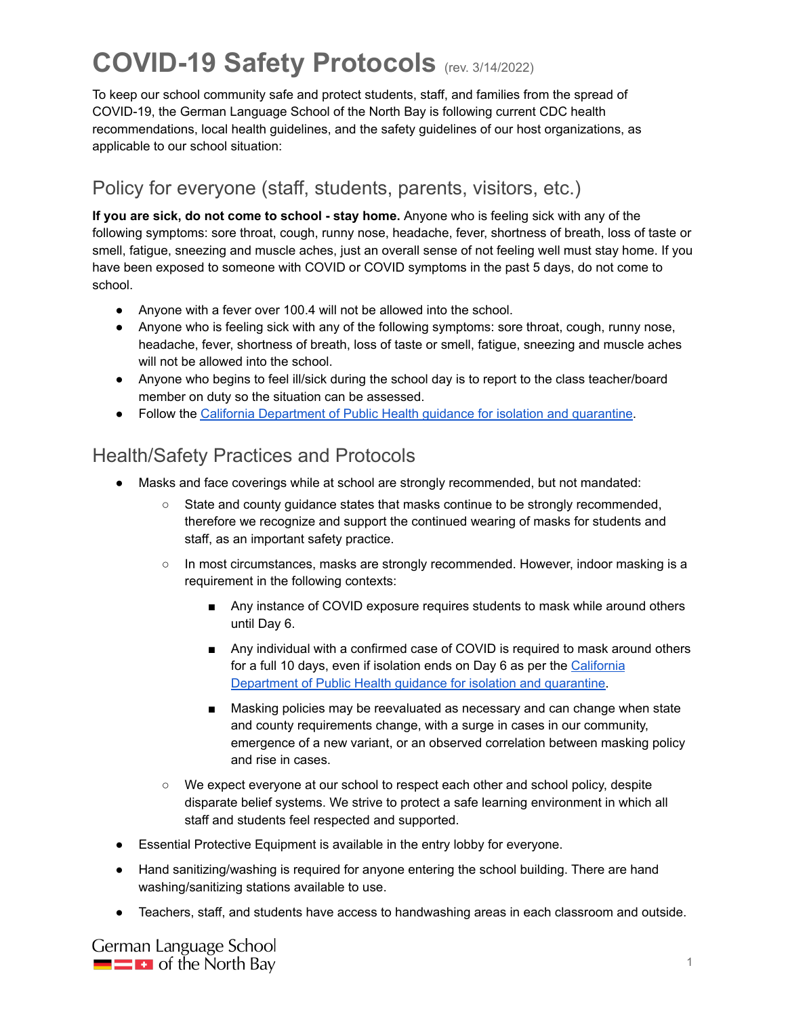To keep our school community safe and protect students, staff, and families from the spread of COVID-19, the German Language School of the North Bay is following current CDC health recommendations, local health guidelines, and the safety guidelines of our host organizations, as applicable to our school situation:

#### Policy for everyone (staff, students, parents, visitors, etc.)

**If you are sick, do not come to school - stay home.** Anyone who is feeling sick with any of the following symptoms: sore throat, cough, runny nose, headache, fever, shortness of breath, loss of taste or smell, fatigue, sneezing and muscle aches, just an overall sense of not feeling well must stay home. If you have been exposed to someone with COVID or COVID symptoms in the past 5 days, do not come to school.

- Anyone with a fever over 100.4 will not be allowed into the school.
- Anyone who is feeling sick with any of the following symptoms: sore throat, cough, runny nose, headache, fever, shortness of breath, loss of taste or smell, fatigue, sneezing and muscle aches will not be allowed into the school.
- Anyone who begins to feel ill/sick during the school day is to report to the class teacher/board member on duty so the situation can be assessed.
- Follow the California [Department](https://www.cdph.ca.gov/Programs/CID/DCDC/Pages/COVID-19/Guidance-on-Isolation-and-Quarantine-for-COVID-19-Contact-Tracing.aspx) of Public Health guidance for isolation and quarantine.

#### Health/Safety Practices and Protocols

- Masks and face coverings while at school are strongly recommended, but not mandated:
	- State and county guidance states that masks continue to be strongly recommended, therefore we recognize and support the continued wearing of masks for students and staff, as an important safety practice.
	- In most circumstances, masks are strongly recommended. However, indoor masking is a requirement in the following contexts:
		- Any instance of COVID exposure requires students to mask while around others until Day 6.
		- Any individual with a confirmed case of COVID is required to mask around others for a full 10 days, even if isolation ends on Day 6 as per the [California](https://www.cdph.ca.gov/Programs/CID/DCDC/Pages/COVID-19/Guidance-on-Isolation-and-Quarantine-for-COVID-19-Contact-Tracing.aspx) [Department](https://www.cdph.ca.gov/Programs/CID/DCDC/Pages/COVID-19/Guidance-on-Isolation-and-Quarantine-for-COVID-19-Contact-Tracing.aspx) of Public Health guidance for isolation and quarantine.
		- Masking policies may be reevaluated as necessary and can change when state and county requirements change, with a surge in cases in our community, emergence of a new variant, or an observed correlation between masking policy and rise in cases.
	- We expect everyone at our school to respect each other and school policy, despite disparate belief systems. We strive to protect a safe learning environment in which all staff and students feel respected and supported.
- Essential Protective Equipment is available in the entry lobby for everyone.
- Hand sanitizing/washing is required for anyone entering the school building. There are hand washing/sanitizing stations available to use.
- Teachers, staff, and students have access to handwashing areas in each classroom and outside.

German Language School  $\blacksquare$   $\blacksquare$  of the North Bay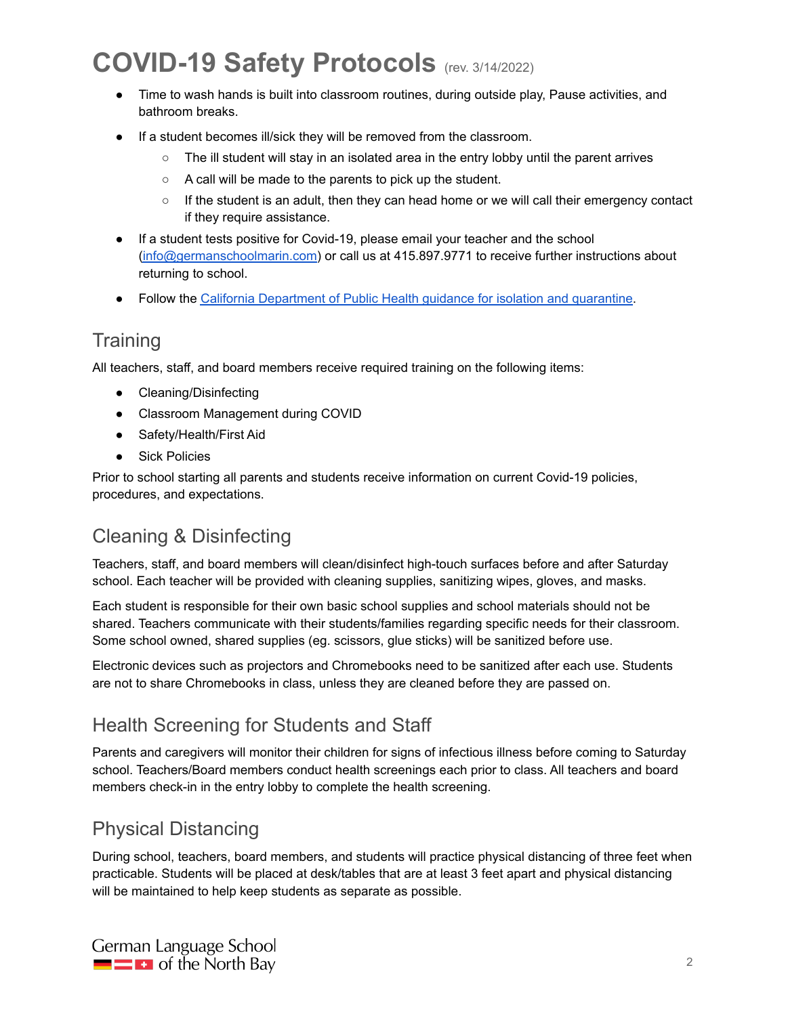- Time to wash hands is built into classroom routines, during outside play, Pause activities, and bathroom breaks.
- If a student becomes ill/sick they will be removed from the classroom.
	- The ill student will stay in an isolated area in the entry lobby until the parent arrives
	- A call will be made to the parents to pick up the student.
	- $\circ$  If the student is an adult, then they can head home or we will call their emergency contact if they require assistance.
- If a student tests positive for Covid-19, please email your teacher and the school [\(info@germanschoolmarin.com](mailto:info@germanschoolmarin.com)) or call us at 415.897.9771 to receive further instructions about returning to school.
- Follow the California [Department](https://www.cdph.ca.gov/Programs/CID/DCDC/Pages/COVID-19/Guidance-on-Isolation-and-Quarantine-for-COVID-19-Contact-Tracing.aspx) of Public Health guidance for isolation and quarantine.

#### **Training**

All teachers, staff, and board members receive required training on the following items:

- Cleaning/Disinfecting
- Classroom Management during COVID
- Safety/Health/First Aid
- Sick Policies

Prior to school starting all parents and students receive information on current Covid-19 policies, procedures, and expectations.

### Cleaning & Disinfecting

Teachers, staff, and board members will clean/disinfect high-touch surfaces before and after Saturday school. Each teacher will be provided with cleaning supplies, sanitizing wipes, gloves, and masks.

Each student is responsible for their own basic school supplies and school materials should not be shared. Teachers communicate with their students/families regarding specific needs for their classroom. Some school owned, shared supplies (eg. scissors, glue sticks) will be sanitized before use.

Electronic devices such as projectors and Chromebooks need to be sanitized after each use. Students are not to share Chromebooks in class, unless they are cleaned before they are passed on.

### Health Screening for Students and Staff

Parents and caregivers will monitor their children for signs of infectious illness before coming to Saturday school. Teachers/Board members conduct health screenings each prior to class. All teachers and board members check-in in the entry lobby to complete the health screening.

### Physical Distancing

During school, teachers, board members, and students will practice physical distancing of three feet when practicable. Students will be placed at desk/tables that are at least 3 feet apart and physical distancing will be maintained to help keep students as separate as possible.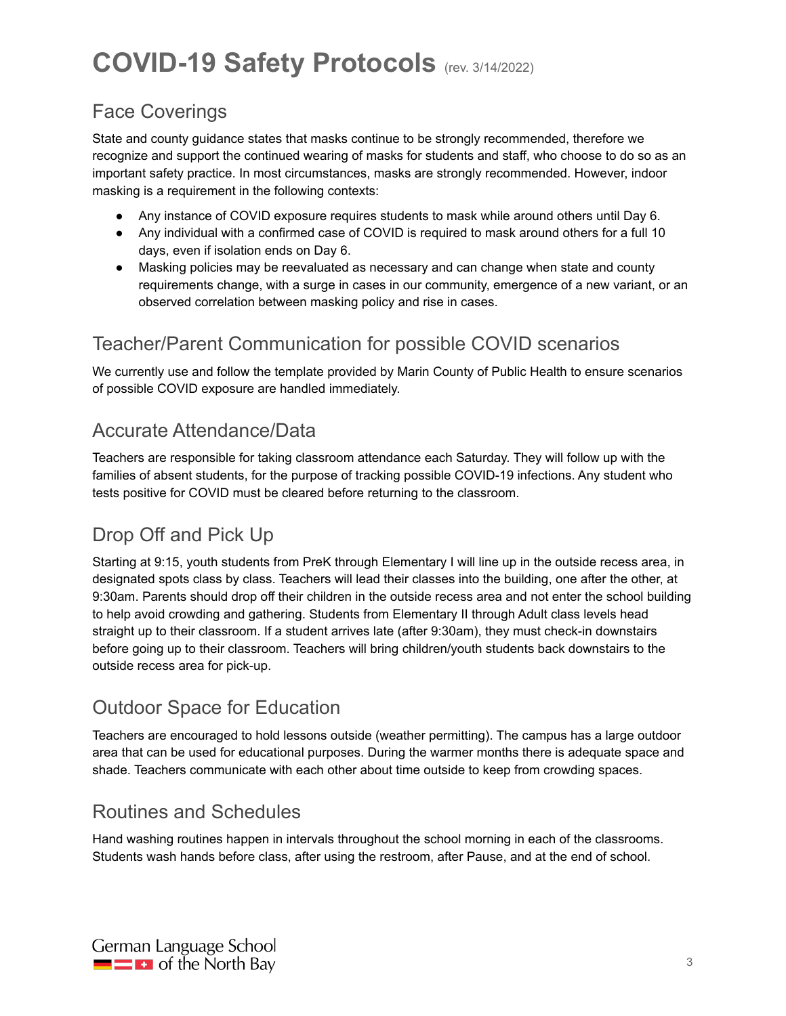## Face Coverings

State and county guidance states that masks continue to be strongly recommended, therefore we recognize and support the continued wearing of masks for students and staff, who choose to do so as an important safety practice. In most circumstances, masks are strongly recommended. However, indoor masking is a requirement in the following contexts:

- Any instance of COVID exposure requires students to mask while around others until Day 6.
- Any individual with a confirmed case of COVID is required to mask around others for a full 10 days, even if isolation ends on Day 6.
- Masking policies may be reevaluated as necessary and can change when state and county requirements change, with a surge in cases in our community, emergence of a new variant, or an observed correlation between masking policy and rise in cases.

#### Teacher/Parent Communication for possible COVID scenarios

We currently use and follow the template provided by Marin County of Public Health to ensure scenarios of possible COVID exposure are handled immediately.

#### Accurate Attendance/Data

Teachers are responsible for taking classroom attendance each Saturday. They will follow up with the families of absent students, for the purpose of tracking possible COVID-19 infections. Any student who tests positive for COVID must be cleared before returning to the classroom.

# Drop Off and Pick Up

Starting at 9:15, youth students from PreK through Elementary I will line up in the outside recess area, in designated spots class by class. Teachers will lead their classes into the building, one after the other, at 9:30am. Parents should drop off their children in the outside recess area and not enter the school building to help avoid crowding and gathering. Students from Elementary II through Adult class levels head straight up to their classroom. If a student arrives late (after 9:30am), they must check-in downstairs before going up to their classroom. Teachers will bring children/youth students back downstairs to the outside recess area for pick-up.

### Outdoor Space for Education

Teachers are encouraged to hold lessons outside (weather permitting). The campus has a large outdoor area that can be used for educational purposes. During the warmer months there is adequate space and shade. Teachers communicate with each other about time outside to keep from crowding spaces.

#### Routines and Schedules

Hand washing routines happen in intervals throughout the school morning in each of the classrooms. Students wash hands before class, after using the restroom, after Pause, and at the end of school.